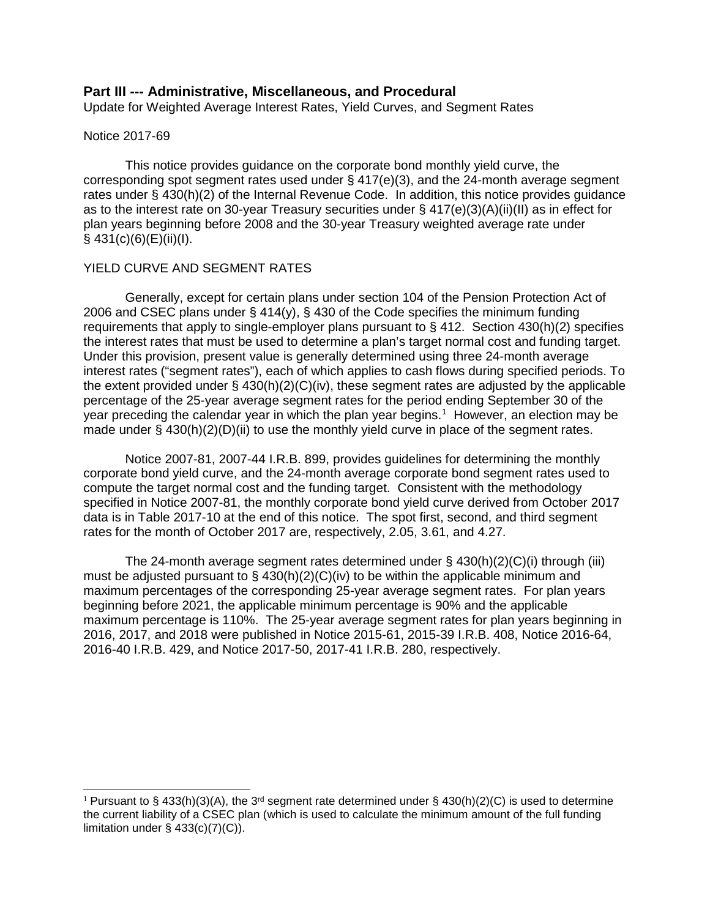## **Part III --- Administrative, Miscellaneous, and Procedural**

Update for Weighted Average Interest Rates, Yield Curves, and Segment Rates

#### Notice 2017-69

This notice provides guidance on the corporate bond monthly yield curve, the corresponding spot segment rates used under  $\S$  417(e)(3), and the 24-month average segment rates under § 430(h)(2) of the Internal Revenue Code. In addition, this notice provides guidance as to the interest rate on 30-year Treasury securities under § 417(e)(3)(A)(ii)(II) as in effect for plan years beginning before 2008 and the 30-year Treasury weighted average rate under  $§$  431(c)(6)(E)(ii)(I).

## YIELD CURVE AND SEGMENT RATES

Generally, except for certain plans under section 104 of the Pension Protection Act of 2006 and CSEC plans under § 414(y), § 430 of the Code specifies the minimum funding requirements that apply to single-employer plans pursuant to § 412. Section 430(h)(2) specifies the interest rates that must be used to determine a plan's target normal cost and funding target. Under this provision, present value is generally determined using three 24-month average interest rates ("segment rates"), each of which applies to cash flows during specified periods. To the extent provided under  $\S$  430(h)(2)(C)(iv), these segment rates are adjusted by the applicable percentage of the 25-year average segment rates for the period ending September 30 of the year preceding the calendar year in which the plan year begins. [1](#page-0-0) However, an election may be made under  $\S$  430(h)(2)(D)(ii) to use the monthly yield curve in place of the segment rates.

Notice 2007-81, 2007-44 I.R.B. 899, provides guidelines for determining the monthly corporate bond yield curve, and the 24-month average corporate bond segment rates used to compute the target normal cost and the funding target. Consistent with the methodology specified in Notice 2007-81, the monthly corporate bond yield curve derived from October 2017 data is in Table 2017-10 at the end of this notice. The spot first, second, and third segment rates for the month of October 2017 are, respectively, 2.05, 3.61, and 4.27.

The 24-month average segment rates determined under  $\S$  430(h)(2)(C)(i) through (iii) must be adjusted pursuant to §  $430(h)(2)(C)(iv)$  to be within the applicable minimum and maximum percentages of the corresponding 25-year average segment rates. For plan years beginning before 2021, the applicable minimum percentage is 90% and the applicable maximum percentage is 110%. The 25-year average segment rates for plan years beginning in 2016, 2017, and 2018 were published in Notice 2015-61, 2015-39 I.R.B. 408, Notice 2016-64, 2016-40 I.R.B. 429, and Notice 2017-50, 2017-41 I.R.B. 280, respectively.

<span id="page-0-0"></span><sup>&</sup>lt;sup>1</sup> Pursuant to § 433(h)(3)(A), the 3<sup>rd</sup> segment rate determined under § 430(h)(2)(C) is used to determine the current liability of a CSEC plan (which is used to calculate the minimum amount of the full funding limitation under  $\S$  433(c)(7)(C)).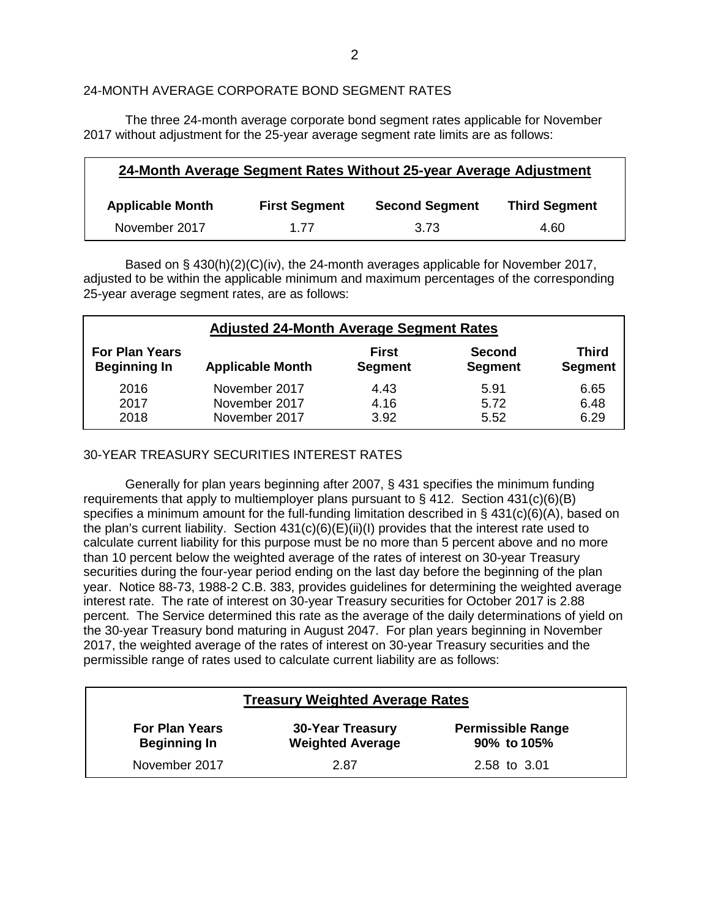## 24-MONTH AVERAGE CORPORATE BOND SEGMENT RATES

The three 24-month average corporate bond segment rates applicable for November 2017 without adjustment for the 25-year average segment rate limits are as follows:

| 24-Month Average Segment Rates Without 25-year Average Adjustment |                      |                       |                      |  |  |  |  |  |
|-------------------------------------------------------------------|----------------------|-----------------------|----------------------|--|--|--|--|--|
| <b>Applicable Month</b>                                           | <b>First Segment</b> | <b>Second Segment</b> | <b>Third Segment</b> |  |  |  |  |  |
| November 2017                                                     | 177                  | 3.73                  | 4.60                 |  |  |  |  |  |

Based on § 430(h)(2)(C)(iv), the 24-month averages applicable for November 2017, adjusted to be within the applicable minimum and maximum percentages of the corresponding 25-year average segment rates, are as follows:

| <b>Adjusted 24-Month Average Segment Rates</b> |                         |                                |                          |                                |  |  |  |  |
|------------------------------------------------|-------------------------|--------------------------------|--------------------------|--------------------------------|--|--|--|--|
| <b>For Plan Years</b><br><b>Beginning In</b>   | <b>Applicable Month</b> | <b>First</b><br><b>Segment</b> | Second<br><b>Segment</b> | <b>Third</b><br><b>Segment</b> |  |  |  |  |
| 2016                                           | November 2017           | 4.43                           | 5.91                     | 6.65                           |  |  |  |  |
| 2017                                           | November 2017           | 4.16                           | 5.72                     | 6.48                           |  |  |  |  |
| 2018                                           | November 2017           | 3.92                           | 5.52                     | 6.29                           |  |  |  |  |

## 30-YEAR TREASURY SECURITIES INTEREST RATES

Generally for plan years beginning after 2007, § 431 specifies the minimum funding requirements that apply to multiemployer plans pursuant to  $\S$  412. Section 431(c)(6)(B) specifies a minimum amount for the full-funding limitation described in § 431(c)(6)(A), based on the plan's current liability. Section  $431(c)(6)(E)(ii)(I)$  provides that the interest rate used to calculate current liability for this purpose must be no more than 5 percent above and no more than 10 percent below the weighted average of the rates of interest on 30-year Treasury securities during the four-year period ending on the last day before the beginning of the plan year. Notice 88-73, 1988-2 C.B. 383, provides guidelines for determining the weighted average interest rate. The rate of interest on 30-year Treasury securities for October 2017 is 2.88 percent. The Service determined this rate as the average of the daily determinations of yield on the 30-year Treasury bond maturing in August 2047. For plan years beginning in November 2017, the weighted average of the rates of interest on 30-year Treasury securities and the permissible range of rates used to calculate current liability are as follows:

| <b>Treasury Weighted Average Rates</b>       |                                                    |                                         |  |  |  |  |  |  |
|----------------------------------------------|----------------------------------------------------|-----------------------------------------|--|--|--|--|--|--|
| <b>For Plan Years</b><br><b>Beginning In</b> | <b>30-Year Treasury</b><br><b>Weighted Average</b> | <b>Permissible Range</b><br>90% to 105% |  |  |  |  |  |  |
| November 2017                                | 2.87                                               | 2.58 to 3.01                            |  |  |  |  |  |  |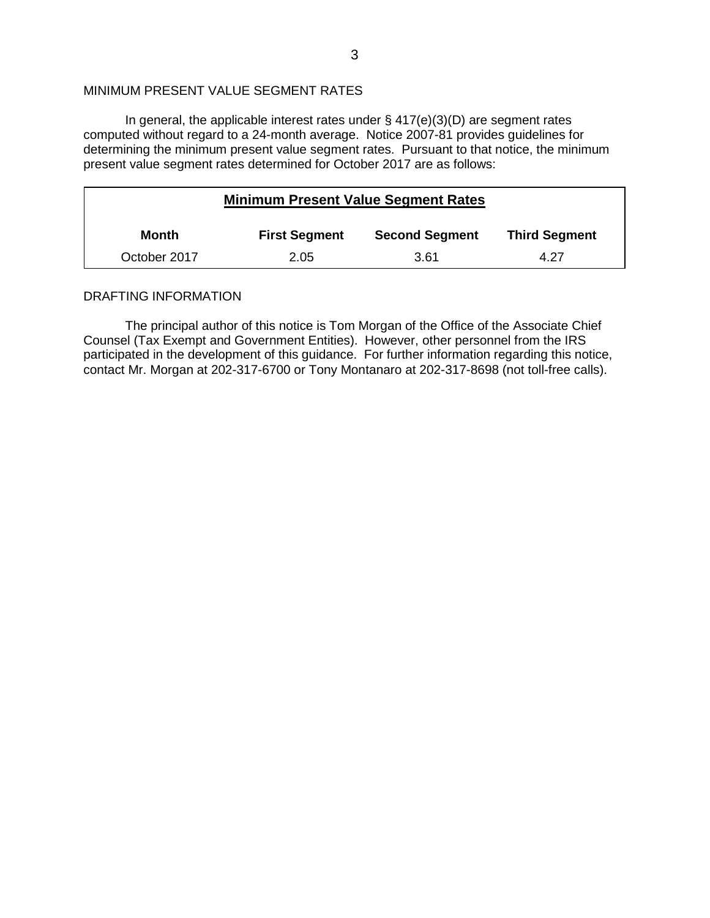## MINIMUM PRESENT VALUE SEGMENT RATES

In general, the applicable interest rates under  $\S$  417(e)(3)(D) are segment rates computed without regard to a 24-month average. Notice 2007-81 provides guidelines for determining the minimum present value segment rates. Pursuant to that notice, the minimum present value segment rates determined for October 2017 are as follows:

| <b>Minimum Present Value Segment Rates</b> |                      |                       |                      |  |  |  |  |  |
|--------------------------------------------|----------------------|-----------------------|----------------------|--|--|--|--|--|
| Month                                      | <b>First Segment</b> | <b>Second Segment</b> | <b>Third Segment</b> |  |  |  |  |  |
| October 2017                               | 2.05                 | 3.61                  | 4.27                 |  |  |  |  |  |

#### DRAFTING INFORMATION

The principal author of this notice is Tom Morgan of the Office of the Associate Chief Counsel (Tax Exempt and Government Entities). However, other personnel from the IRS participated in the development of this guidance. For further information regarding this notice, contact Mr. Morgan at 202-317-6700 or Tony Montanaro at 202-317-8698 (not toll-free calls).